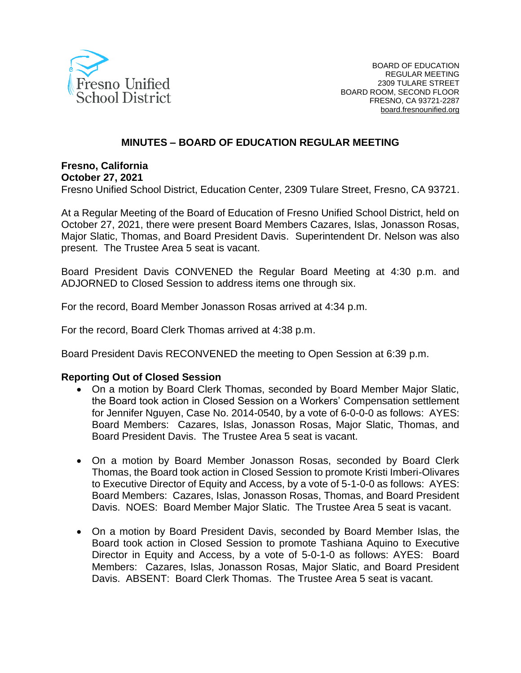

# **MINUTES – BOARD OF EDUCATION REGULAR MEETING**

# **Fresno, California**

**October 27, 2021**

Fresno Unified School District, Education Center, 2309 Tulare Street, Fresno, CA 93721.

At a Regular Meeting of the Board of Education of Fresno Unified School District, held on October 27, 2021, there were present Board Members Cazares, Islas, Jonasson Rosas, Major Slatic, Thomas, and Board President Davis. Superintendent Dr. Nelson was also present. The Trustee Area 5 seat is vacant.

Board President Davis CONVENED the Regular Board Meeting at 4:30 p.m. and ADJORNED to Closed Session to address items one through six.

For the record, Board Member Jonasson Rosas arrived at 4:34 p.m.

For the record, Board Clerk Thomas arrived at 4:38 p.m.

Board President Davis RECONVENED the meeting to Open Session at 6:39 p.m.

#### **Reporting Out of Closed Session**

- On a motion by Board Clerk Thomas, seconded by Board Member Major Slatic, the Board took action in Closed Session on a Workers' Compensation settlement for Jennifer Nguyen, Case No. 2014-0540, by a vote of 6-0-0-0 as follows: AYES: Board Members: Cazares, Islas, Jonasson Rosas, Major Slatic, Thomas, and Board President Davis. The Trustee Area 5 seat is vacant.
- On a motion by Board Member Jonasson Rosas, seconded by Board Clerk Thomas, the Board took action in Closed Session to promote Kristi Imberi-Olivares to Executive Director of Equity and Access, by a vote of 5-1-0-0 as follows: AYES: Board Members: Cazares, Islas, Jonasson Rosas, Thomas, and Board President Davis. NOES: Board Member Major Slatic. The Trustee Area 5 seat is vacant.
- On a motion by Board President Davis, seconded by Board Member Islas, the Board took action in Closed Session to promote Tashiana Aquino to Executive Director in Equity and Access, by a vote of 5-0-1-0 as follows: AYES: Board Members: Cazares, Islas, Jonasson Rosas, Major Slatic, and Board President Davis. ABSENT: Board Clerk Thomas. The Trustee Area 5 seat is vacant.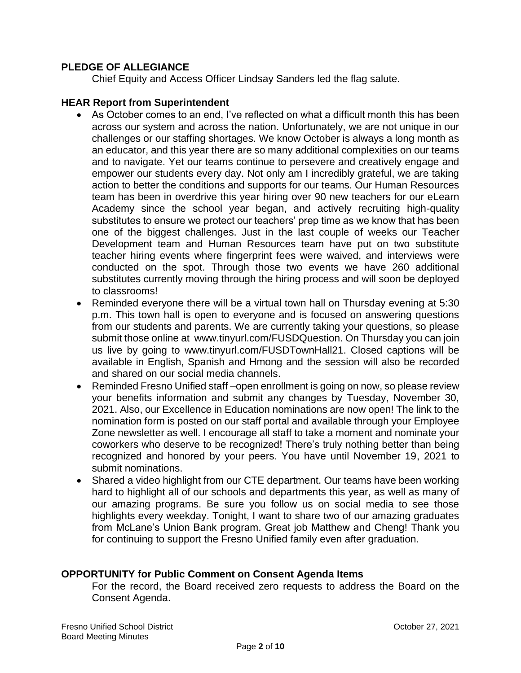# **PLEDGE OF ALLEGIANCE**

Chief Equity and Access Officer Lindsay Sanders led the flag salute.

### **HEAR Report from Superintendent**

- As October comes to an end, I've reflected on what a difficult month this has been across our system and across the nation. Unfortunately, we are not unique in our challenges or our staffing shortages. We know October is always a long month as an educator, and this year there are so many additional complexities on our teams and to navigate. Yet our teams continue to persevere and creatively engage and empower our students every day. Not only am I incredibly grateful, we are taking action to better the conditions and supports for our teams. Our Human Resources team has been in overdrive this year hiring over 90 new teachers for our eLearn Academy since the school year began, and actively recruiting high-quality substitutes to ensure we protect our teachers' prep time as we know that has been one of the biggest challenges. Just in the last couple of weeks our Teacher Development team and Human Resources team have put on two substitute teacher hiring events where fingerprint fees were waived, and interviews were conducted on the spot. Through those two events we have 260 additional substitutes currently moving through the hiring process and will soon be deployed to classrooms!
- Reminded everyone there will be a virtual town hall on Thursday evening at 5:30 p.m. This town hall is open to everyone and is focused on answering questions from our students and parents. We are currently taking your questions, so please submit those online at www.tinyurl.com/FUSDQuestion. On Thursday you can join us live by going to www.tinyurl.com/FUSDTownHall21. Closed captions will be available in English, Spanish and Hmong and the session will also be recorded and shared on our social media channels.
- Reminded Fresno Unified staff-open enrollment is going on now, so please review your benefits information and submit any changes by Tuesday, November 30, 2021. Also, our Excellence in Education nominations are now open! The link to the nomination form is posted on our staff portal and available through your Employee Zone newsletter as well. I encourage all staff to take a moment and nominate your coworkers who deserve to be recognized! There's truly nothing better than being recognized and honored by your peers. You have until November 19, 2021 to submit nominations.
- Shared a video highlight from our CTE department. Our teams have been working hard to highlight all of our schools and departments this year, as well as many of our amazing programs. Be sure you follow us on social media to see those highlights every weekday. Tonight, I want to share two of our amazing graduates from McLane's Union Bank program. Great job Matthew and Cheng! Thank you for continuing to support the Fresno Unified family even after graduation.

## **OPPORTUNITY for Public Comment on Consent Agenda Items**

For the record, the Board received zero requests to address the Board on the Consent Agenda.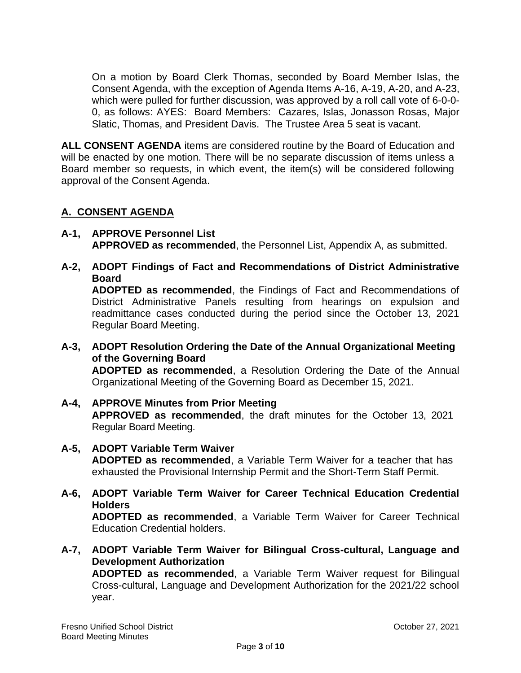On a motion by Board Clerk Thomas, seconded by Board Member Islas, the Consent Agenda, with the exception of Agenda Items A-16, A-19, A-20, and A-23, which were pulled for further discussion, was approved by a roll call vote of 6-0-0- 0, as follows: AYES: Board Members: Cazares, Islas, Jonasson Rosas, Major Slatic, Thomas, and President Davis. The Trustee Area 5 seat is vacant.

**ALL CONSENT AGENDA** items are considered routine by the Board of Education and will be enacted by one motion. There will be no separate discussion of items unless a Board member so requests, in which event, the item(s) will be considered following approval of the Consent Agenda.

# **A. CONSENT AGENDA**

- **A-1, APPROVE Personnel List APPROVED as recommended**, the Personnel List, Appendix A, as submitted.
- **A-2, ADOPT Findings of Fact and Recommendations of District Administrative Board ADOPTED as recommended**, the Findings of Fact and Recommendations of District Administrative Panels resulting from hearings on expulsion and readmittance cases conducted during the period since the October 13, 2021 Regular Board Meeting.
- **A-3, ADOPT Resolution Ordering the Date of the Annual Organizational Meeting of the Governing Board ADOPTED as recommended**, a Resolution Ordering the Date of the Annual Organizational Meeting of the Governing Board as December 15, 2021.
- **A-4, APPROVE Minutes from Prior Meeting APPROVED as recommended**, the draft minutes for the October 13, 2021 Regular Board Meeting.
- **A-5, ADOPT Variable Term Waiver ADOPTED as recommended**, a Variable Term Waiver for a teacher that has exhausted the Provisional Internship Permit and the Short-Term Staff Permit.
- **A-6, ADOPT Variable Term Waiver for Career Technical Education Credential Holders ADOPTED as recommended**, a Variable Term Waiver for Career Technical Education Credential holders.
- **A-7, ADOPT Variable Term Waiver for Bilingual Cross-cultural, Language and Development Authorization**

**ADOPTED as recommended**, a Variable Term Waiver request for Bilingual Cross-cultural, Language and Development Authorization for the 2021/22 school year.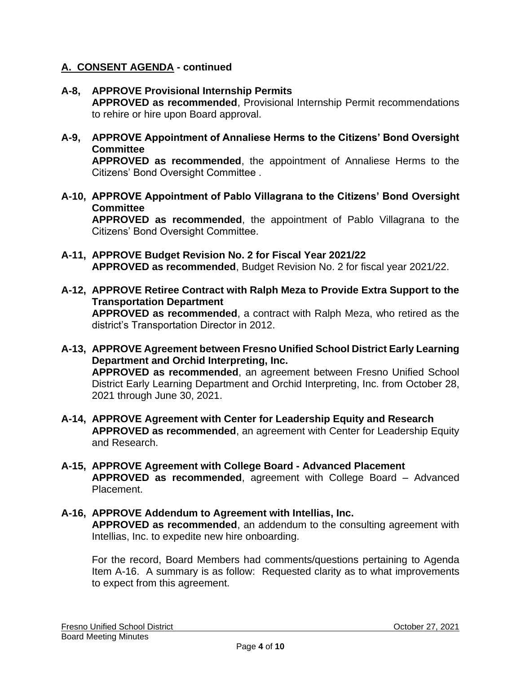- **A-8, APPROVE Provisional Internship Permits APPROVED as recommended**, Provisional Internship Permit recommendations to rehire or hire upon Board approval.
- **A-9, APPROVE Appointment of Annaliese Herms to the Citizens' Bond Oversight Committee APPROVED as recommended**, the appointment of Annaliese Herms to the

Citizens' Bond Oversight Committee .

**A-10, APPROVE Appointment of Pablo Villagrana to the Citizens' Bond Oversight Committee**

**APPROVED as recommended**, the appointment of Pablo Villagrana to the Citizens' Bond Oversight Committee.

- **A-11, APPROVE Budget Revision No. 2 for Fiscal Year 2021/22 APPROVED as recommended**, Budget Revision No. 2 for fiscal year 2021/22.
- **A-12, APPROVE Retiree Contract with Ralph Meza to Provide Extra Support to the Transportation Department APPROVED as recommended**, a contract with Ralph Meza, who retired as the district's Transportation Director in 2012.
- **A-13, APPROVE Agreement between Fresno Unified School District Early Learning Department and Orchid Interpreting, Inc. APPROVED as recommended**, an agreement between Fresno Unified School District Early Learning Department and Orchid Interpreting, Inc. from October 28, 2021 through June 30, 2021.
- **A-14, APPROVE Agreement with Center for Leadership Equity and Research APPROVED as recommended**, an agreement with Center for Leadership Equity and Research.
- **A-15, APPROVE Agreement with College Board - Advanced Placement APPROVED as recommended**, agreement with College Board – Advanced Placement.
- **A-16, APPROVE Addendum to Agreement with Intellias, Inc. APPROVED as recommended**, an addendum to the consulting agreement with Intellias, Inc. to expedite new hire onboarding.

For the record, Board Members had comments/questions pertaining to Agenda Item A-16. A summary is as follow: Requested clarity as to what improvements to expect from this agreement.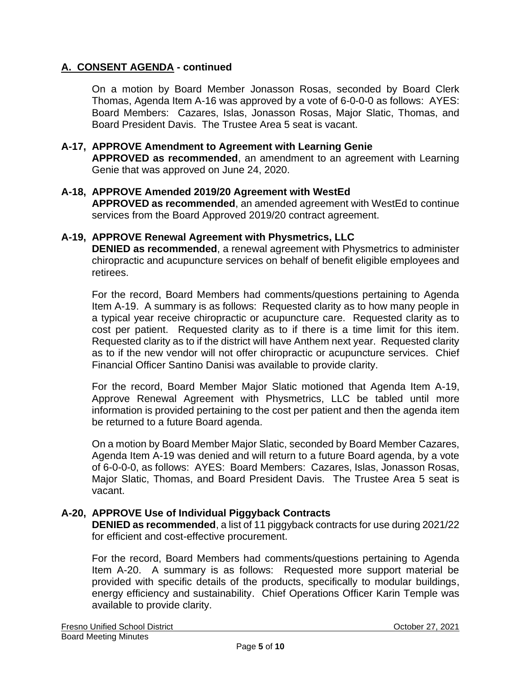On a motion by Board Member Jonasson Rosas, seconded by Board Clerk Thomas, Agenda Item A-16 was approved by a vote of 6-0-0-0 as follows: AYES: Board Members: Cazares, Islas, Jonasson Rosas, Major Slatic, Thomas, and Board President Davis. The Trustee Area 5 seat is vacant.

### **A-17, APPROVE Amendment to Agreement with Learning Genie**

**APPROVED as recommended**, an amendment to an agreement with Learning Genie that was approved on June 24, 2020.

#### **A-18, APPROVE Amended 2019/20 Agreement with WestEd**

**APPROVED as recommended**, an amended agreement with WestEd to continue services from the Board Approved 2019/20 contract agreement.

#### **A-19, APPROVE Renewal Agreement with Physmetrics, LLC**

**DENIED as recommended**, a renewal agreement with Physmetrics to administer chiropractic and acupuncture services on behalf of benefit eligible employees and retirees.

For the record, Board Members had comments/questions pertaining to Agenda Item A-19. A summary is as follows: Requested clarity as to how many people in a typical year receive chiropractic or acupuncture care. Requested clarity as to cost per patient. Requested clarity as to if there is a time limit for this item. Requested clarity as to if the district will have Anthem next year. Requested clarity as to if the new vendor will not offer chiropractic or acupuncture services. Chief Financial Officer Santino Danisi was available to provide clarity.

For the record, Board Member Major Slatic motioned that Agenda Item A-19, Approve Renewal Agreement with Physmetrics, LLC be tabled until more information is provided pertaining to the cost per patient and then the agenda item be returned to a future Board agenda.

On a motion by Board Member Major Slatic, seconded by Board Member Cazares, Agenda Item A-19 was denied and will return to a future Board agenda, by a vote of 6-0-0-0, as follows: AYES: Board Members: Cazares, Islas, Jonasson Rosas, Major Slatic, Thomas, and Board President Davis. The Trustee Area 5 seat is vacant.

## **A-20, APPROVE Use of Individual Piggyback Contracts**

**DENIED as recommended**, a list of 11 piggyback contracts for use during 2021/22 for efficient and cost-effective procurement.

For the record, Board Members had comments/questions pertaining to Agenda Item A-20. A summary is as follows: Requested more support material be provided with specific details of the products, specifically to modular buildings, energy efficiency and sustainability. Chief Operations Officer Karin Temple was available to provide clarity.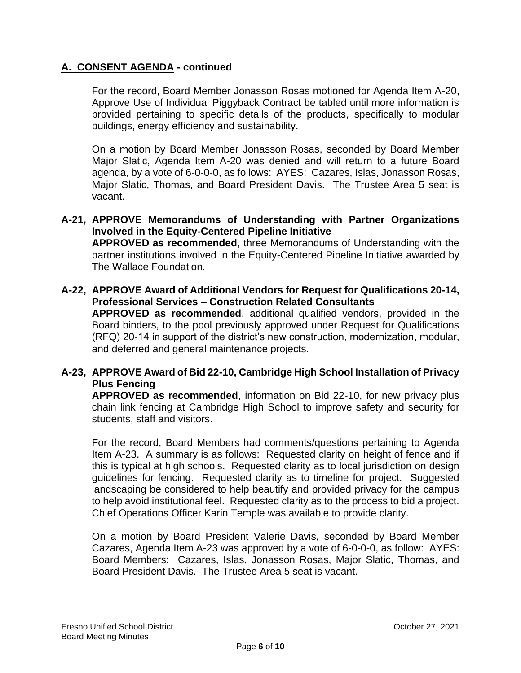For the record, Board Member Jonasson Rosas motioned for Agenda Item A-20, Approve Use of Individual Piggyback Contract be tabled until more information is provided pertaining to specific details of the products, specifically to modular buildings, energy efficiency and sustainability.

On a motion by Board Member Jonasson Rosas, seconded by Board Member Major Slatic, Agenda Item A-20 was denied and will return to a future Board agenda, by a vote of 6-0-0-0, as follows: AYES: Cazares, Islas, Jonasson Rosas, Major Slatic, Thomas, and Board President Davis. The Trustee Area 5 seat is vacant.

- **A-21, APPROVE Memorandums of Understanding with Partner Organizations Involved in the Equity-Centered Pipeline Initiative APPROVED as recommended**, three Memorandums of Understanding with the partner institutions involved in the Equity-Centered Pipeline Initiative awarded by The Wallace Foundation.
- **A-22, APPROVE Award of Additional Vendors for Request for Qualifications 20-14, Professional Services – Construction Related Consultants APPROVED as recommended**, additional qualified vendors, provided in the Board binders, to the pool previously approved under Request for Qualifications (RFQ) 20-14 in support of the district's new construction, modernization, modular, and deferred and general maintenance projects.

# **A-23, APPROVE Award of Bid 22-10, Cambridge High School Installation of Privacy Plus Fencing**

**APPROVED as recommended**, information on Bid 22-10, for new privacy plus chain link fencing at Cambridge High School to improve safety and security for students, staff and visitors.

For the record, Board Members had comments/questions pertaining to Agenda Item A-23. A summary is as follows: Requested clarity on height of fence and if this is typical at high schools. Requested clarity as to local jurisdiction on design guidelines for fencing. Requested clarity as to timeline for project. Suggested landscaping be considered to help beautify and provided privacy for the campus to help avoid institutional feel. Requested clarity as to the process to bid a project. Chief Operations Officer Karin Temple was available to provide clarity.

On a motion by Board President Valerie Davis, seconded by Board Member Cazares, Agenda Item A-23 was approved by a vote of 6-0-0-0, as follow: AYES: Board Members: Cazares, Islas, Jonasson Rosas, Major Slatic, Thomas, and Board President Davis. The Trustee Area 5 seat is vacant.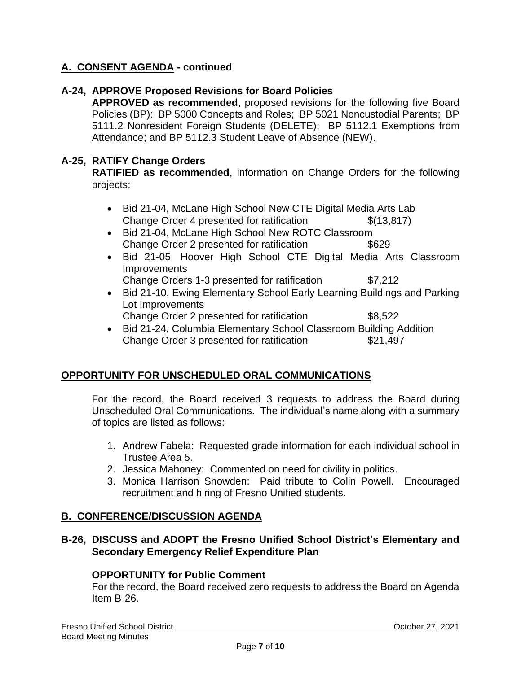### **A-24, APPROVE Proposed Revisions for Board Policies**

**APPROVED as recommended**, proposed revisions for the following five Board Policies (BP): BP 5000 Concepts and Roles; BP 5021 Noncustodial Parents; BP 5111.2 Nonresident Foreign Students (DELETE); BP 5112.1 Exemptions from Attendance; and BP 5112.3 Student Leave of Absence (NEW).

#### **A-25, RATIFY Change Orders**

**RATIFIED as recommended**, information on Change Orders for the following projects:

- Bid 21-04, McLane High School New CTE Digital Media Arts Lab Change Order 4 presented for ratification  $$(13,817)$
- Bid 21-04, McLane High School New ROTC Classroom Change Order 2 presented for ratification  $$629$
- Bid 21-05, Hoover High School CTE Digital Media Arts Classroom **Improvements** Change Orders 1-3 presented for ratification \$7,212
- Bid 21-10, Ewing Elementary School Early Learning Buildings and Parking Lot Improvements
	- Change Order 2 presented for ratification \$8,522
- Bid 21-24, Columbia Elementary School Classroom Building Addition Change Order 3 presented for ratification \$21,497

## **OPPORTUNITY FOR UNSCHEDULED ORAL COMMUNICATIONS**

For the record, the Board received 3 requests to address the Board during Unscheduled Oral Communications. The individual's name along with a summary of topics are listed as follows:

- 1. Andrew Fabela: Requested grade information for each individual school in Trustee Area 5.
- 2. Jessica Mahoney: Commented on need for civility in politics.
- 3. Monica Harrison Snowden: Paid tribute to Colin Powell. Encouraged recruitment and hiring of Fresno Unified students.

## **B. CONFERENCE/DISCUSSION AGENDA**

# **B-26, DISCUSS and ADOPT the Fresno Unified School District's Elementary and Secondary Emergency Relief Expenditure Plan**

#### **OPPORTUNITY for Public Comment**

For the record, the Board received zero requests to address the Board on Agenda Item B-26.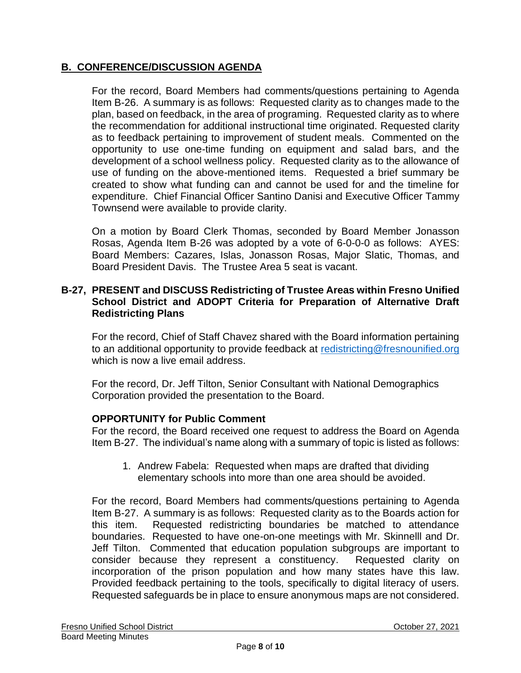# **B. CONFERENCE/DISCUSSION AGENDA**

For the record, Board Members had comments/questions pertaining to Agenda Item B-26. A summary is as follows: Requested clarity as to changes made to the plan, based on feedback, in the area of programing. Requested clarity as to where the recommendation for additional instructional time originated. Requested clarity as to feedback pertaining to improvement of student meals. Commented on the opportunity to use one-time funding on equipment and salad bars, and the development of a school wellness policy. Requested clarity as to the allowance of use of funding on the above-mentioned items. Requested a brief summary be created to show what funding can and cannot be used for and the timeline for expenditure. Chief Financial Officer Santino Danisi and Executive Officer Tammy Townsend were available to provide clarity.

On a motion by Board Clerk Thomas, seconded by Board Member Jonasson Rosas, Agenda Item B-26 was adopted by a vote of 6-0-0-0 as follows: AYES: Board Members: Cazares, Islas, Jonasson Rosas, Major Slatic, Thomas, and Board President Davis. The Trustee Area 5 seat is vacant.

## **B-27, PRESENT and DISCUSS Redistricting of Trustee Areas within Fresno Unified School District and ADOPT Criteria for Preparation of Alternative Draft Redistricting Plans**

For the record, Chief of Staff Chavez shared with the Board information pertaining to an additional opportunity to provide feedback at [redistricting@fresnounified.org](mailto:redistricting@fresnounified.org) which is now a live email address.

For the record, Dr. Jeff Tilton, Senior Consultant with National Demographics Corporation provided the presentation to the Board.

# **OPPORTUNITY for Public Comment**

For the record, the Board received one request to address the Board on Agenda Item B-27. The individual's name along with a summary of topic is listed as follows:

1. Andrew Fabela: Requested when maps are drafted that dividing elementary schools into more than one area should be avoided.

For the record, Board Members had comments/questions pertaining to Agenda Item B-27. A summary is as follows: Requested clarity as to the Boards action for this item. Requested redistricting boundaries be matched to attendance boundaries. Requested to have one-on-one meetings with Mr. Skinnelll and Dr. Jeff Tilton. Commented that education population subgroups are important to consider because they represent a constituency. Requested clarity on incorporation of the prison population and how many states have this law. Provided feedback pertaining to the tools, specifically to digital literacy of users. Requested safeguards be in place to ensure anonymous maps are not considered.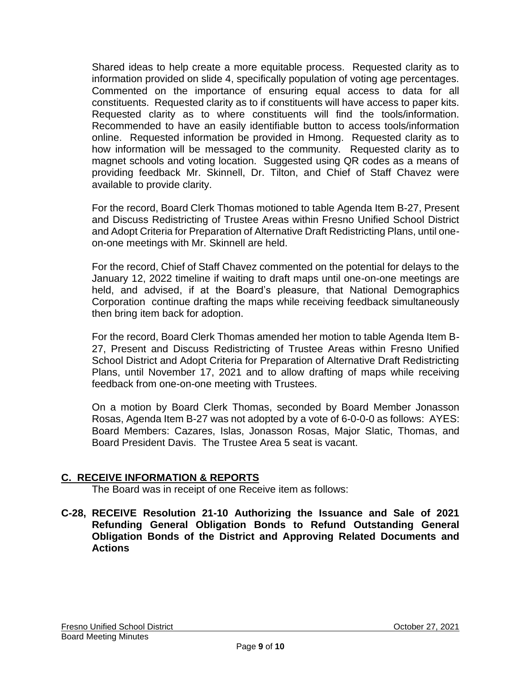Shared ideas to help create a more equitable process. Requested clarity as to information provided on slide 4, specifically population of voting age percentages. Commented on the importance of ensuring equal access to data for all constituents. Requested clarity as to if constituents will have access to paper kits. Requested clarity as to where constituents will find the tools/information. Recommended to have an easily identifiable button to access tools/information online. Requested information be provided in Hmong. Requested clarity as to how information will be messaged to the community. Requested clarity as to magnet schools and voting location. Suggested using QR codes as a means of providing feedback Mr. Skinnell, Dr. Tilton, and Chief of Staff Chavez were available to provide clarity.

For the record, Board Clerk Thomas motioned to table Agenda Item B-27, Present and Discuss Redistricting of Trustee Areas within Fresno Unified School District and Adopt Criteria for Preparation of Alternative Draft Redistricting Plans, until oneon-one meetings with Mr. Skinnell are held.

For the record, Chief of Staff Chavez commented on the potential for delays to the January 12, 2022 timeline if waiting to draft maps until one-on-one meetings are held, and advised, if at the Board's pleasure, that National Demographics Corporation continue drafting the maps while receiving feedback simultaneously then bring item back for adoption.

For the record, Board Clerk Thomas amended her motion to table Agenda Item B-27, Present and Discuss Redistricting of Trustee Areas within Fresno Unified School District and Adopt Criteria for Preparation of Alternative Draft Redistricting Plans, until November 17, 2021 and to allow drafting of maps while receiving feedback from one-on-one meeting with Trustees.

On a motion by Board Clerk Thomas, seconded by Board Member Jonasson Rosas, Agenda Item B-27 was not adopted by a vote of 6-0-0-0 as follows: AYES: Board Members: Cazares, Islas, Jonasson Rosas, Major Slatic, Thomas, and Board President Davis. The Trustee Area 5 seat is vacant.

## **C. RECEIVE INFORMATION & REPORTS**

The Board was in receipt of one Receive item as follows:

**C-28, RECEIVE Resolution 21-10 Authorizing the Issuance and Sale of 2021 Refunding General Obligation Bonds to Refund Outstanding General Obligation Bonds of the District and Approving Related Documents and Actions**